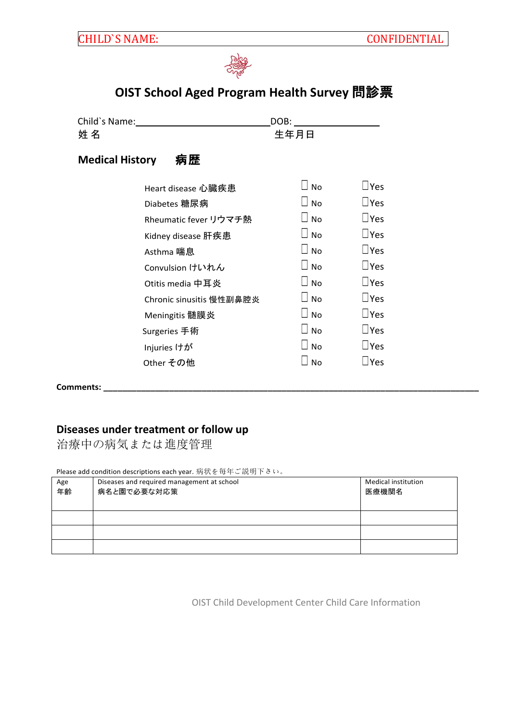

## **OIST School Aged Program Health Survey** 問診票

Child`s Name: DOB: アクセス こうしょう こうしょう こうしゃ 生年月日 かんじょう かんしょう とうしょう とうしょう **Medical History** 病歴 Heart disease 心臓疾患 ☐ No ☐Yes Diabetes 糖尿病 ☐ No ☐Yes Rheumatic fever リウマチ熱 □ No □ ∇es Kidney disease 肝疾患  $□$  No  $□$  Yes Asthma 喘息  $\Box$  No  $\Box$  Yes Convulsion けいれん ☐ No ☐Yes Otitis media 中耳炎 □ No □ Yes Chronic sinusitis 慢性副鼻腔炎 □ No □ ∇es Meningitis 髄膜炎 ☐ No ☐Yes Surgeries 手術  $□$  No  $□$  Yes Injuries けが □ No □Yes Other その他 □ Yes

**Comments: \_\_\_\_\_\_\_\_\_\_\_\_\_\_\_\_\_\_\_\_\_\_\_\_\_\_\_\_\_\_\_\_\_\_\_\_\_\_\_\_\_\_\_\_\_\_\_\_\_\_\_\_\_\_\_\_\_\_\_\_\_\_\_\_\_\_\_\_\_\_\_\_\_\_\_\_\_\_\_\_**

## **Diseases under treatment or follow up**

治療中の病気または進度管理

Please add condition descriptions each year. 病状を毎年ご説明下さい。

| Age<br>年齢 | Diseases and required management at school<br>病名と園で必要な対応策 | <b>Medical institution</b><br>医療機関名 |
|-----------|-----------------------------------------------------------|-------------------------------------|
|           |                                                           |                                     |
|           |                                                           |                                     |
|           |                                                           |                                     |

OIST Child Development Center Child Care Information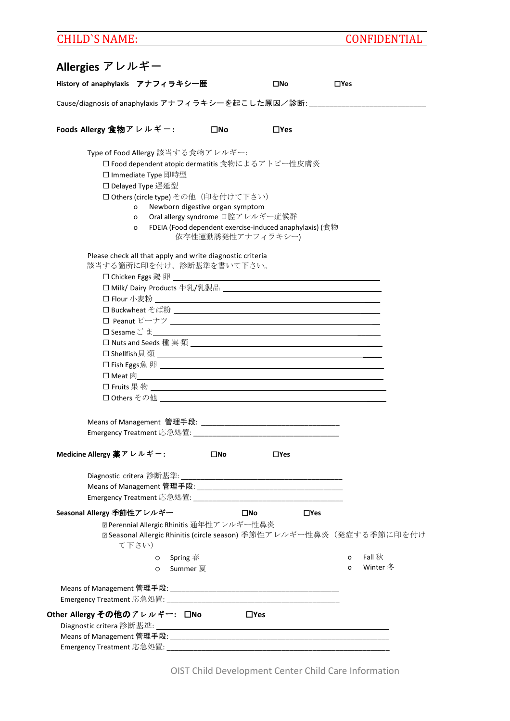# CHILD`S NAME: CONFIDENTIAL

| History of anaphylaxis アナフィラキシ一歴                                      | □No        | $\Box$ Yes    |          |
|-----------------------------------------------------------------------|------------|---------------|----------|
| Cause/diagnosis of anaphylaxis アナフィラキシーを起こした原因/診断:                    |            |               |          |
| Foods Allergy 食物アレルギー:<br>$\square$ No                                | $\Box$ Yes |               |          |
| Type of Food Allergy 該当する食物アレルギー:                                     |            |               |          |
| □ Food dependent atopic dermatitis 食物によるアトピー性皮膚炎                      |            |               |          |
| □ Immediate Type 即時型                                                  |            |               |          |
| □ Delayed Type 遅延型                                                    |            |               |          |
| □ Others (circle type) その他 (印を付けて下さい)                                 |            |               |          |
| Newborn digestive organ symptom<br>o                                  |            |               |          |
| Oral allergy syndrome 口腔アレルギー症候群<br>o                                 |            |               |          |
| FDEIA (Food dependent exercise-induced anaphylaxis) (食物<br>o          |            |               |          |
| 依存性運動誘発性アナフィラキシー)                                                     |            |               |          |
| Please check all that apply and write diagnostic criteria             |            |               |          |
| 該当する箇所に印を付け、診断基準を書いて下さい。                                              |            |               |          |
|                                                                       |            |               |          |
|                                                                       |            |               |          |
|                                                                       |            |               |          |
| □ Buckwheat そば粉 ____________________________                          |            |               |          |
|                                                                       |            |               |          |
|                                                                       |            |               |          |
|                                                                       |            |               |          |
| □ Shellfish貝 類 __________________________________                     |            |               |          |
|                                                                       |            |               |          |
|                                                                       |            |               |          |
|                                                                       |            |               |          |
| □ Others その他 _______________________________                          |            |               |          |
|                                                                       |            |               |          |
|                                                                       |            |               |          |
|                                                                       |            |               |          |
|                                                                       |            |               |          |
| Medicine Allergy 薬アレルギー:<br>$\square$ No                              | $\Box$ Yes |               |          |
|                                                                       |            |               |          |
|                                                                       |            |               |          |
|                                                                       |            |               |          |
| Seasonal Allergy 季節性アレルギー                                             | □No        | $\square$ Yes |          |
| 2 Perennial Allergic Rhinitis 通年性アレルギー性鼻炎                             |            |               |          |
| □ Seasonal Allergic Rhinitis (circle season) 季節性アレルギー性鼻炎 (発症する季節に印を付け |            |               |          |
| て下さい)                                                                 |            |               |          |
| $\circ$ Spring 春                                                      |            | o             | Fall 秋   |
| o Summer 夏                                                            |            | O             | Winter 冬 |
|                                                                       |            |               |          |
|                                                                       |            |               |          |
|                                                                       |            |               |          |
| Other Allergy その他のアレルギー: 口No                                          | $\Box$ Yes |               |          |
|                                                                       |            |               |          |
|                                                                       |            |               |          |
|                                                                       |            |               |          |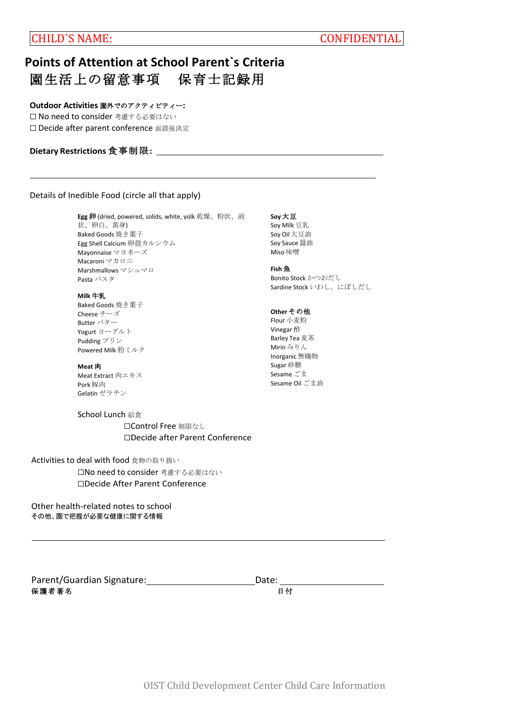# **Points of Attention at School Parent`s Criteria** 園生活上の留意事項 保育士記録用

### **Outdoor Activities** 園外でのアクティビティー**:**

□ No need to consider 考慮する必要はない ☐ Decide after parent conference 面談後決定

## **Dietary Restrictions** 食事制限**:**

## Details of Inedible Food (circle all that apply)

**Egg** 卵 (dried, powered, solids, white, yolk 乾燥、粉状、液 状、卵白、黄身) Baked Goods 焼き菓子 Egg Shell Calcium 卵殻カルシウム Mayonnaise マヨネーズ Macaroni マカロニ Marshmallows マシュマロ Pasta パスタ

#### **Milk** 牛乳

Baked Goods 焼き菓子 Cheese チーズ Butter バター Yogurt ヨーグルト Pudding プリン Powered Milk 粉ミルク

#### **Meat** 肉

Meat Extract 肉エキス Pork 豚肉 Gelatin ゼラチン

School Lunch 給食 □Control Free 制限なし ☐Decide after Parent Conference

### Activities to deal with food 食物の取り扱い

□No need to consider 考慮する必要はない ☐Decide After Parent Conference

Other health-related notes to school その他、園で把握が必要な健康に関する情報

| Parent/Guardian Signature: | Date: |    |
|----------------------------|-------|----|
| 保護者著名                      |       | 日付 |

### **Soy** 大豆

Soy Milk 豆乳 Soy Oil 大豆油 Soy Sauce 醤油 Miso 味噌

#### **Fish** 魚

Bonito Stock かつおだし Sardine Stock いわし、にぼしだし

#### **Other** その他

Flour 小麦粉 Vinegar 酢 Barley Tea 麦茶 Mirin みりん Inorganic無機物 Sugar 砂糖 Sesame ごま Sesame Oil ごま油

OIST Child Development Center Child Care Information